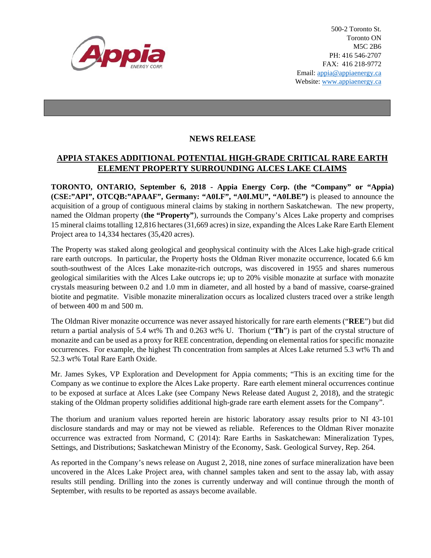

500-2 Toronto St. Toronto ON M5C 2B6 PH: 416 546-2707 FAX: 416 218-9772 Email: appia@appiaenergy.ca Website: www.appiaenergy.ca

## **NEWS RELEASE**

## **APPIA STAKES ADDITIONAL POTENTIAL HIGH-GRADE CRITICAL RARE EARTH ELEMENT PROPERTY SURROUNDING ALCES LAKE CLAIMS**

**TORONTO, ONTARIO, September 6, 2018 - Appia Energy Corp. (the "Company" or "Appia) (CSE:"API", OTCQB:"APAAF", Germany: "A0I.F", "A0I.MU", "A0I.BE")** is pleased to announce the acquisition of a group of contiguous mineral claims by staking in northern Saskatchewan. The new property, named the Oldman property (**the "Property"**), surrounds the Company's Alces Lake property and comprises 15 mineral claims totalling 12,816 hectares (31,669 acres) in size, expanding the Alces Lake Rare Earth Element Project area to 14,334 hectares (35,420 acres).

The Property was staked along geological and geophysical continuity with the Alces Lake high-grade critical rare earth outcrops. In particular, the Property hosts the Oldman River monazite occurrence, located 6.6 km south-southwest of the Alces Lake monazite-rich outcrops, was discovered in 1955 and shares numerous geological similarities with the Alces Lake outcrops ie; up to 20% visible monazite at surface with monazite crystals measuring between 0.2 and 1.0 mm in diameter, and all hosted by a band of massive, coarse-grained biotite and pegmatite. Visible monazite mineralization occurs as localized clusters traced over a strike length of between 400 m and 500 m.

The Oldman River monazite occurrence was never assayed historically for rare earth elements ("**REE**") but did return a partial analysis of 5.4 wt% Th and 0.263 wt% U. Thorium ("**Th**") is part of the crystal structure of monazite and can be used as a proxy for REE concentration, depending on elemental ratios for specific monazite occurrences. For example, the highest Th concentration from samples at Alces Lake returned 5.3 wt% Th and 52.3 wt% Total Rare Earth Oxide.

Mr. James Sykes, VP Exploration and Development for Appia comments; "This is an exciting time for the Company as we continue to explore the Alces Lake property. Rare earth element mineral occurrences continue to be exposed at surface at Alces Lake (see Company News Release dated August 2, 2018), and the strategic staking of the Oldman property solidifies additional high-grade rare earth element assets for the Company".

The thorium and uranium values reported herein are historic laboratory assay results prior to NI 43-101 disclosure standards and may or may not be viewed as reliable. References to the Oldman River monazite occurrence was extracted from Normand, C (2014): Rare Earths in Saskatchewan: Mineralization Types, Settings, and Distributions; Saskatchewan Ministry of the Economy, Sask. Geological Survey, Rep. 264.

As reported in the Company's news release on August 2, 2018, nine zones of surface mineralization have been uncovered in the Alces Lake Project area, with channel samples taken and sent to the assay lab, with assay results still pending. Drilling into the zones is currently underway and will continue through the month of September, with results to be reported as assays become available.